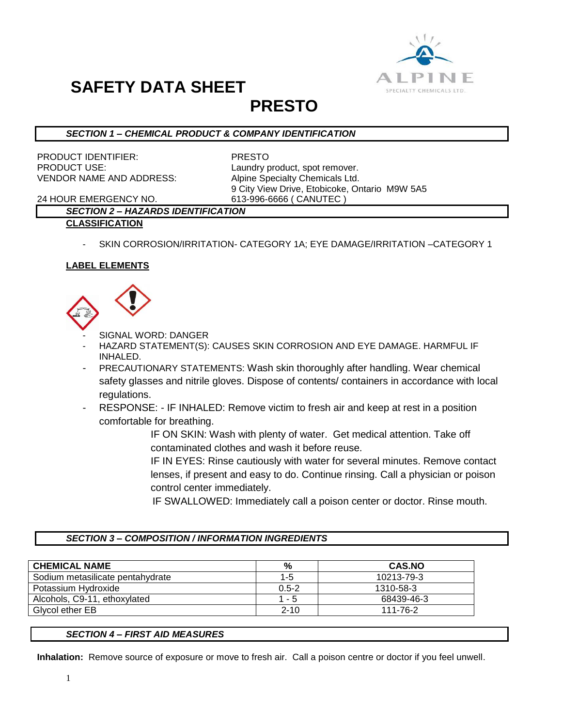

### **PRESTO**

### *SECTION 1 – CHEMICAL PRODUCT & COMPANY IDENTIFICATION*

PRODUCT IDENTIFIER: PRESTO PRODUCT USE: Laundry product, spot remover. VENDOR NAME AND ADDRESS: Alpine Specialty Chemicals Ltd.

9 City View Drive, Etobicoke, Ontario M9W 5A5

24 HOUR EMERGENCY NO. 613-996-6666 ( CANUTEC )

### *SECTION 2 – HAZARDS IDENTIFICATION*

### **CLASSIFICATION**

SKIN CORROSION/IRRITATION- CATEGORY 1A; EYE DAMAGE/IRRITATION -CATEGORY 1

### **LABEL ELEMENTS**



- SIGNAL WORD: DANGER
- HAZARD STATEMENT(S): CAUSES SKIN CORROSION AND EYE DAMAGE. HARMFUL IF INHALED.
- PRECAUTIONARY STATEMENTS: Wash skin thoroughly after handling. Wear chemical safety glasses and nitrile gloves. Dispose of contents/ containers in accordance with local regulations.
- RESPONSE: IF INHALED: Remove victim to fresh air and keep at rest in a position comfortable for breathing.

IF ON SKIN: Wash with plenty of water. Get medical attention. Take off contaminated clothes and wash it before reuse.

IF IN EYES: Rinse cautiously with water for several minutes. Remove contact lenses, if present and easy to do. Continue rinsing. Call a physician or poison control center immediately.

IF SWALLOWED: Immediately call a poison center or doctor. Rinse mouth.

### *SECTION 3 – COMPOSITION / INFORMATION INGREDIENTS*

| <b>CHEMICAL NAME</b>             | %         | <b>CAS.NO</b> |
|----------------------------------|-----------|---------------|
| Sodium metasilicate pentahydrate | $1 - 5$   | 10213-79-3    |
| Potassium Hydroxide              | $0.5 - 2$ | 1310-58-3     |
| Alcohols, C9-11, ethoxylated     | $1 - 5$   | 68439-46-3    |
| Glycol ether EB                  | $2 - 10$  | 111-76-2      |

### *SECTION 4 – FIRST AID MEASURES*

**Inhalation:** Remove source of exposure or move to fresh air. Call a poison centre or doctor if you feel unwell.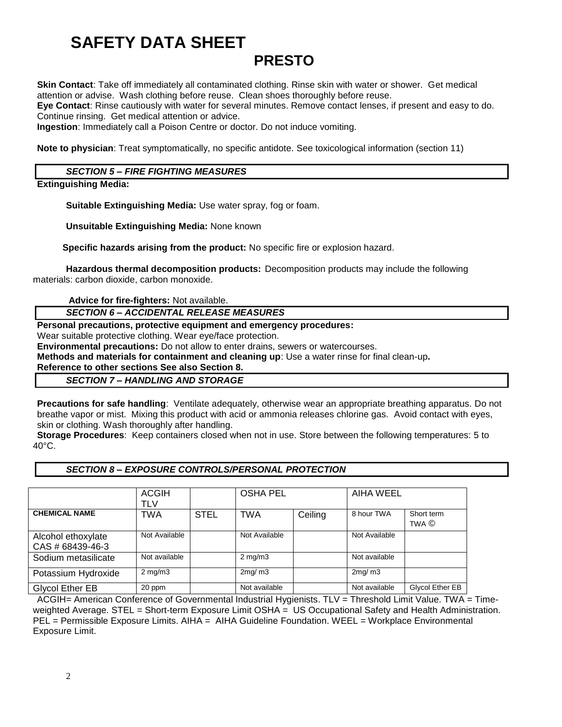### **PRESTO**

**Skin Contact**: Take off immediately all contaminated clothing. Rinse skin with water or shower. Get medical attention or advise. Wash clothing before reuse. Clean shoes thoroughly before reuse. **Eye Contact**: Rinse cautiously with water for several minutes. Remove contact lenses, if present and easy to do.

Continue rinsing. Get medical attention or advice.

**Ingestion**: Immediately call a Poison Centre or doctor. Do not induce vomiting.

**Note to physician**: Treat symptomatically, no specific antidote. See toxicological information (section 11)

### *SECTION 5 – FIRE FIGHTING MEASURES*

#### **Extinguishing Media:**

**Suitable Extinguishing Media:** Use water spray, fog or foam.

**Unsuitable Extinguishing Media:** None known

 **Specific hazards arising from the product:** No specific fire or explosion hazard.

**Hazardous thermal decomposition products:** Decomposition products may include the following materials: carbon dioxide, carbon monoxide.

**Advice for fire-fighters:** Not available.

*SECTION 6 – ACCIDENTAL RELEASE MEASURES*

### **Personal precautions, protective equipment and emergency procedures:**

Wear suitable protective clothing. Wear eye/face protection.

**Environmental precautions:** Do not allow to enter drains, sewers or watercourses.

**Methods and materials for containment and cleaning up**: Use a water rinse for final clean-up**.** 

**Reference to other sections See also Section 8.**

*SECTION 7 – HANDLING AND STORAGE*

**Precautions for safe handling**: Ventilate adequately, otherwise wear an appropriate breathing apparatus. Do not breathe vapor or mist. Mixing this product with acid or ammonia releases chlorine gas. Avoid contact with eyes, skin or clothing. Wash thoroughly after handling.

**Storage Procedures**: Keep containers closed when not in use. Store between the following temperatures: 5 to 40°C.

#### *SECTION 8 – EXPOSURE CONTROLS/PERSONAL PROTECTION*

|                                        | <b>ACGIH</b><br><b>TLV</b> |             | <b>OSHA PEL</b>  |         | AIHA WEEL     |                     |
|----------------------------------------|----------------------------|-------------|------------------|---------|---------------|---------------------|
| <b>CHEMICAL NAME</b>                   | <b>TWA</b>                 | <b>STEL</b> | <b>TWA</b>       | Ceiling | 8 hour TWA    | Short term<br>TWA © |
| Alcohol ethoxylate<br>CAS # 68439-46-3 | Not Available              |             | Not Available    |         | Not Available |                     |
| Sodium metasilicate                    | Not available              |             | $2 \text{ mg/m}$ |         | Not available |                     |
| Potassium Hydroxide                    | $2 \text{ mg/m}$           |             | 2mq/m3           |         | 2mq/m3        |                     |
| Glycol Ether EB                        | 20 ppm                     |             | Not available    |         | Not available | Glycol Ether EB     |

ACGIH= American Conference of Governmental Industrial Hygienists. TLV = Threshold Limit Value. TWA = Timeweighted Average. STEL = Short-term Exposure Limit OSHA = US Occupational Safety and Health Administration. PEL = Permissible Exposure Limits. AIHA = AIHA Guideline Foundation. WEEL = Workplace Environmental Exposure Limit.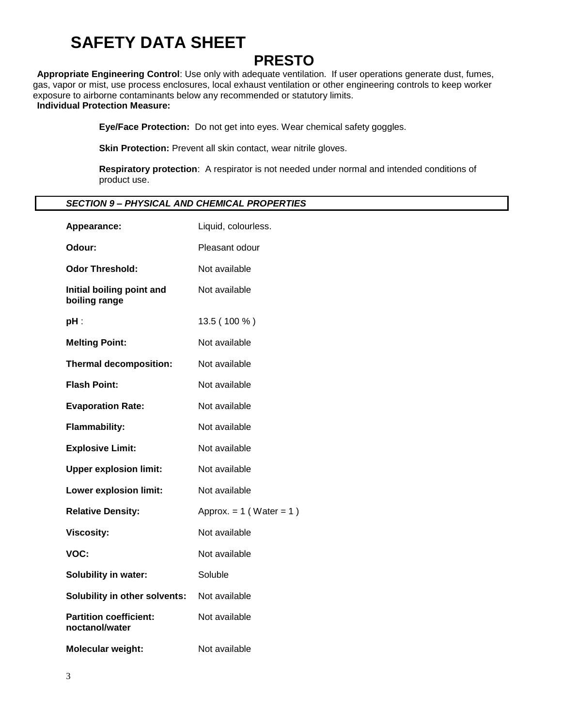### **PRESTO**

**Appropriate Engineering Control**: Use only with adequate ventilation. If user operations generate dust, fumes, gas, vapor or mist, use process enclosures, local exhaust ventilation or other engineering controls to keep worker exposure to airborne contaminants below any recommended or statutory limits. **Individual Protection Measure:**

**Eye/Face Protection:** Do not get into eyes. Wear chemical safety goggles.

**Skin Protection:** Prevent all skin contact, wear nitrile gloves.

**Respiratory protection**: A respirator is not needed under normal and intended conditions of product use.

### *SECTION 9 – PHYSICAL AND CHEMICAL PROPERTIES*

| Appearance:                                     | Liquid, colourless.          |  |  |
|-------------------------------------------------|------------------------------|--|--|
| Odour:                                          | Pleasant odour               |  |  |
| <b>Odor Threshold:</b>                          | Not available                |  |  |
| Initial boiling point and<br>boiling range      | Not available                |  |  |
| pH:                                             | 13.5 (100 %)                 |  |  |
| <b>Melting Point:</b>                           | Not available                |  |  |
| <b>Thermal decomposition:</b>                   | Not available                |  |  |
| <b>Flash Point:</b>                             | Not available                |  |  |
| <b>Evaporation Rate:</b>                        | Not available                |  |  |
| <b>Flammability:</b>                            | Not available                |  |  |
| <b>Explosive Limit:</b>                         | Not available                |  |  |
| <b>Upper explosion limit:</b>                   | Not available                |  |  |
| <b>Lower explosion limit:</b>                   | Not available                |  |  |
| <b>Relative Density:</b>                        | Approx. = $1$ (Water = $1$ ) |  |  |
| <b>Viscosity:</b>                               | Not available                |  |  |
| VOC:                                            | Not available                |  |  |
| <b>Solubility in water:</b>                     | Soluble                      |  |  |
| <b>Solubility in other solvents:</b>            | Not available                |  |  |
| <b>Partition coefficient:</b><br>noctanol/water | Not available                |  |  |
| <b>Molecular weight:</b>                        | Not available                |  |  |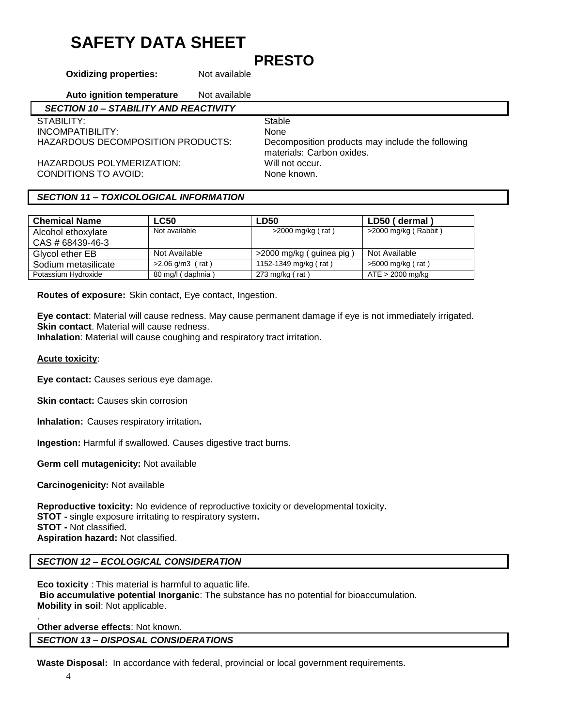### **PRESTO**

**Oxidizing properties:** Not available

**Auto ignition temperature** Not available  *SECTION 10 – STABILITY AND REACTIVITY* STABILITY: STABILITY: INCOMPATIBILITY: None<br>HAZARDOUS DECOMPOSITION PRODUCTS: Decor Decomposition products may include the following materials: Carbon oxides. HAZARDOUS POLYMERIZATION: Will not occur. CONDITIONS TO AVOID: None known.

### *SECTION 11 – TOXICOLOGICAL INFORMATION*

| <b>Chemical Name</b> | <b>LC50</b>        | <b>LD50</b>              | LD50 (dermal)          |
|----------------------|--------------------|--------------------------|------------------------|
| Alcohol ethoxylate   | Not available      | $>2000$ mg/kg (rat)      | $>2000$ mg/kg (Rabbit) |
| CAS # 68439-46-3     |                    |                          |                        |
| Glycol ether EB      | Not Available      | >2000 mg/kg (guinea pig) | Not Available          |
| Sodium metasilicate  | $>2.06$ g/m3 (rat) | 1152-1349 mg/kg (rat)    | >5000 mg/kg (rat)      |
| Potassium Hydroxide  | 80 mg/l (daphnia)  | 273 mg/kg ( $rat$ )      | $ATE > 2000$ mg/kg     |

**Routes of exposure:** Skin contact, Eye contact, Ingestion.

**Eye contact**: Material will cause redness. May cause permanent damage if eye is not immediately irrigated. **Skin contact**. Material will cause redness.

**Inhalation**: Material will cause coughing and respiratory tract irritation.

### **Acute toxicity**:

**Eye contact:** Causes serious eye damage.

**Skin contact:** Causes skin corrosion

**Inhalation:** Causes respiratory irritation**.**

**Ingestion:** Harmful if swallowed. Causes digestive tract burns.

**Germ cell mutagenicity:** Not available

**Carcinogenicity:** Not available

**Reproductive toxicity:** No evidence of reproductive toxicity or developmental toxicity**. STOT -** single exposure irritating to respiratory system**. STOT -** Not classified**. Aspiration hazard:** Not classified.

### *SECTION 12 – ECOLOGICAL CONSIDERATION*

**Eco toxicity** : This material is harmful to aquatic life. **Bio accumulative potential Inorganic**: The substance has no potential for bioaccumulation. **Mobility in soil**: Not applicable.

**Other adverse effects**: Not known. *SECTION 13 – DISPOSAL CONSIDERATIONS*

**Waste Disposal:** In accordance with federal, provincial or local government requirements.

.